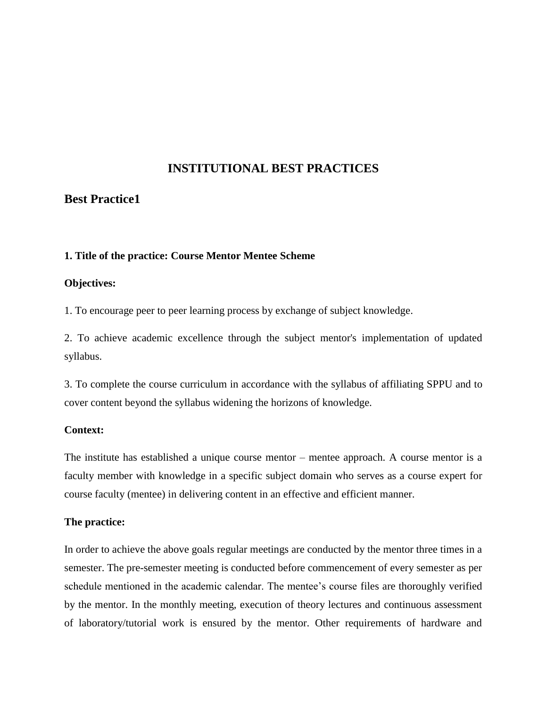# **INSTITUTIONAL BEST PRACTICES**

# **Best Practice1**

### **1. Title of the practice: Course Mentor Mentee Scheme**

### **Objectives:**

1. To encourage peer to peer learning process by exchange of subject knowledge.

2. To achieve academic excellence through the subject mentor's implementation of updated syllabus.

3. To complete the course curriculum in accordance with the syllabus of affiliating SPPU and to cover content beyond the syllabus widening the horizons of knowledge.

### **Context:**

The institute has established a unique course mentor – mentee approach. A course mentor is a faculty member with knowledge in a specific subject domain who serves as a course expert for course faculty (mentee) in delivering content in an effective and efficient manner.

## **The practice:**

In order to achieve the above goals regular meetings are conducted by the mentor three times in a semester. The pre-semester meeting is conducted before commencement of every semester as per schedule mentioned in the academic calendar. The mentee's course files are thoroughly verified by the mentor. In the monthly meeting, execution of theory lectures and continuous assessment of laboratory/tutorial work is ensured by the mentor. Other requirements of hardware and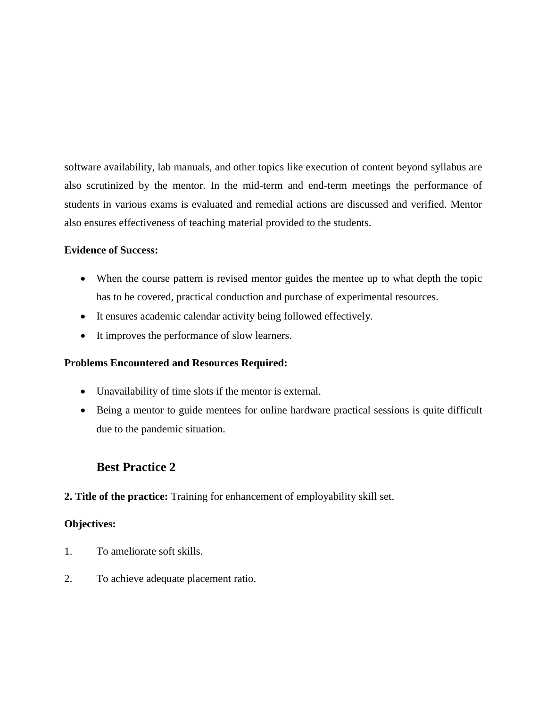software availability, lab manuals, and other topics like execution of content beyond syllabus are also scrutinized by the mentor. In the mid-term and end-term meetings the performance of students in various exams is evaluated and remedial actions are discussed and verified. Mentor also ensures effectiveness of teaching material provided to the students.

## **Evidence of Success:**

- When the course pattern is revised mentor guides the mentee up to what depth the topic has to be covered, practical conduction and purchase of experimental resources.
- It ensures academic calendar activity being followed effectively.
- It improves the performance of slow learners.

# **Problems Encountered and Resources Required:**

- Unavailability of time slots if the mentor is external.
- Being a mentor to guide mentees for online hardware practical sessions is quite difficult due to the pandemic situation.

# **Best Practice 2**

# **2. Title of the practice:** Training for enhancement of employability skill set.

# **Objectives:**

- 1. To ameliorate soft skills.
- 2. To achieve adequate placement ratio.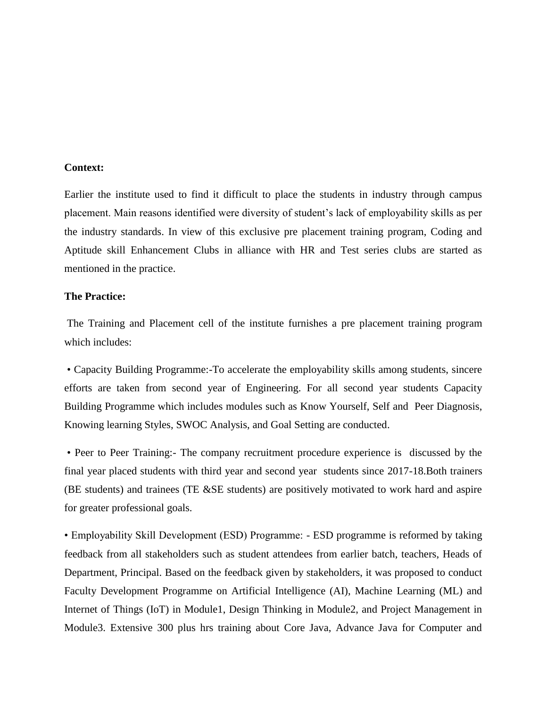#### **Context:**

Earlier the institute used to find it difficult to place the students in industry through campus placement. Main reasons identified were diversity of student's lack of employability skills as per the industry standards. In view of this exclusive pre placement training program, Coding and Aptitude skill Enhancement Clubs in alliance with HR and Test series clubs are started as mentioned in the practice.

### **The Practice:**

The Training and Placement cell of the institute furnishes a pre placement training program which includes:

• Capacity Building Programme:-To accelerate the employability skills among students, sincere efforts are taken from second year of Engineering. For all second year students Capacity Building Programme which includes modules such as Know Yourself, Self and Peer Diagnosis, Knowing learning Styles, SWOC Analysis, and Goal Setting are conducted.

• Peer to Peer Training:- The company recruitment procedure experience is discussed by the final year placed students with third year and second year students since 2017-18.Both trainers (BE students) and trainees (TE &SE students) are positively motivated to work hard and aspire for greater professional goals.

• Employability Skill Development (ESD) Programme: - ESD programme is reformed by taking feedback from all stakeholders such as student attendees from earlier batch, teachers, Heads of Department, Principal. Based on the feedback given by stakeholders, it was proposed to conduct Faculty Development Programme on Artificial Intelligence (AI), Machine Learning (ML) and Internet of Things (IoT) in Module1, Design Thinking in Module2, and Project Management in Module3. Extensive 300 plus hrs training about Core Java, Advance Java for Computer and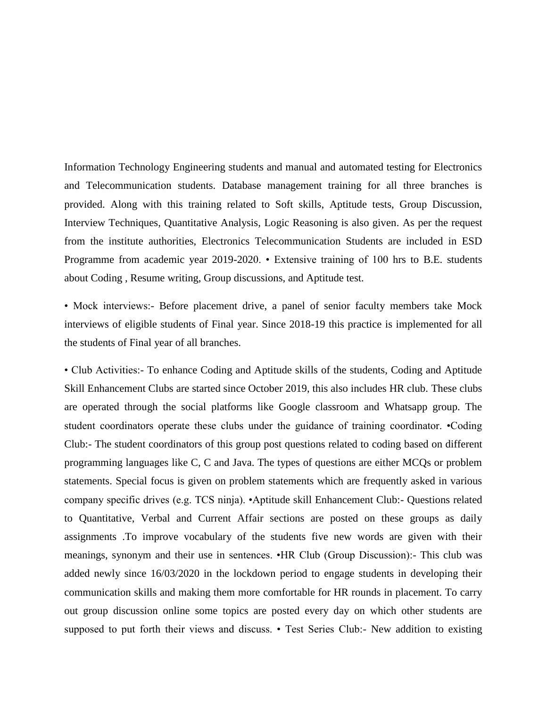Information Technology Engineering students and manual and automated testing for Electronics and Telecommunication students. Database management training for all three branches is provided. Along with this training related to Soft skills, Aptitude tests, Group Discussion, Interview Techniques, Quantitative Analysis, Logic Reasoning is also given. As per the request from the institute authorities, Electronics Telecommunication Students are included in ESD Programme from academic year 2019-2020. • Extensive training of 100 hrs to B.E. students about Coding , Resume writing, Group discussions, and Aptitude test.

• Mock interviews:- Before placement drive, a panel of senior faculty members take Mock interviews of eligible students of Final year. Since 2018-19 this practice is implemented for all the students of Final year of all branches.

• Club Activities:- To enhance Coding and Aptitude skills of the students, Coding and Aptitude Skill Enhancement Clubs are started since October 2019, this also includes HR club. These clubs are operated through the social platforms like Google classroom and Whatsapp group. The student coordinators operate these clubs under the guidance of training coordinator. •Coding Club:- The student coordinators of this group post questions related to coding based on different programming languages like C, C and Java. The types of questions are either MCQs or problem statements. Special focus is given on problem statements which are frequently asked in various company specific drives (e.g. TCS ninja). •Aptitude skill Enhancement Club:- Questions related to Quantitative, Verbal and Current Affair sections are posted on these groups as daily assignments .To improve vocabulary of the students five new words are given with their meanings, synonym and their use in sentences. •HR Club (Group Discussion):- This club was added newly since 16/03/2020 in the lockdown period to engage students in developing their communication skills and making them more comfortable for HR rounds in placement. To carry out group discussion online some topics are posted every day on which other students are supposed to put forth their views and discuss. • Test Series Club:- New addition to existing